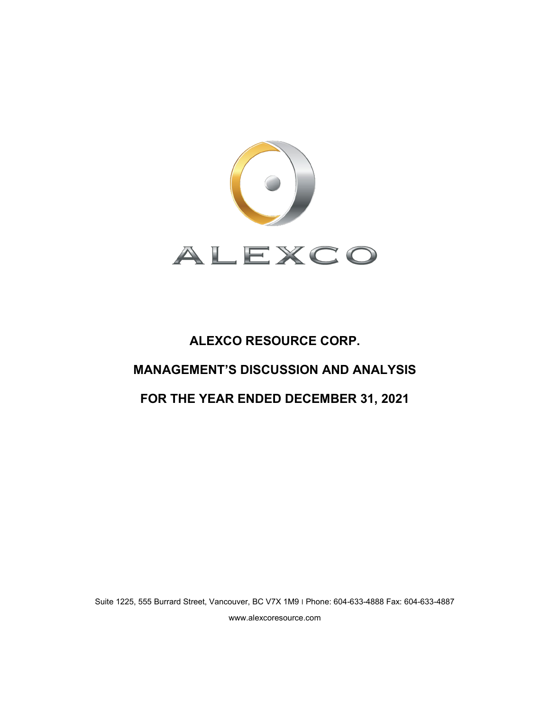

# **ALEXCO RESOURCE CORP. MANAGEMENT'S DISCUSSION AND ANALYSIS**

## **FOR THE YEAR ENDED DECEMBER 31, 2021**

Suite 1225, 555 Burrard Street, Vancouver, BC V7X 1M9 ׀ Phone: 604-633-4888 Fax: 604-633-4887 www.alexcoresource.com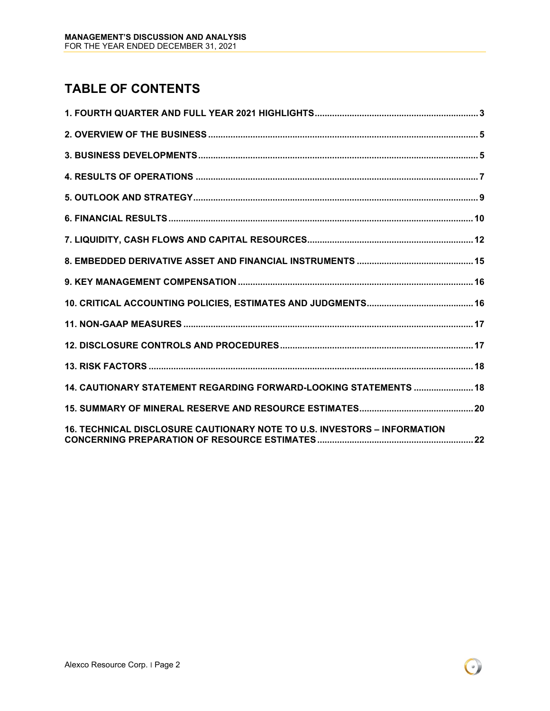# **TABLE OF CONTENTS**

| 14. CAUTIONARY STATEMENT REGARDING FORWARD-LOOKING STATEMENTS  18        |
|--------------------------------------------------------------------------|
|                                                                          |
| 16. TECHNICAL DISCLOSURE CAUTIONARY NOTE TO U.S. INVESTORS - INFORMATION |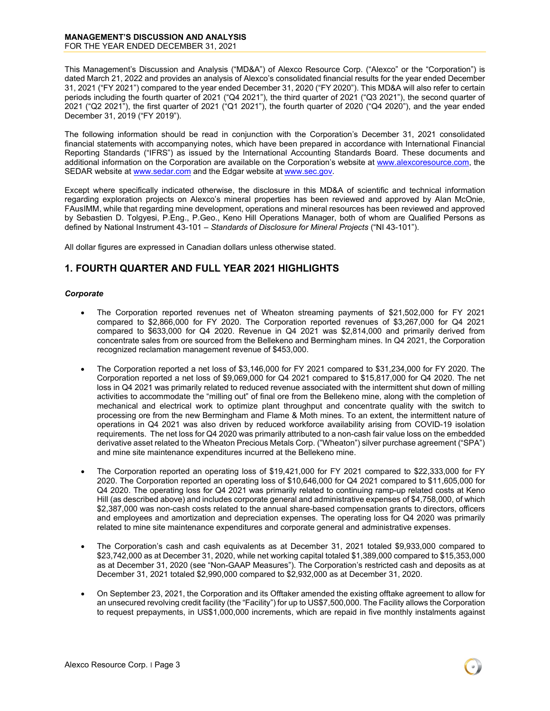This Management's Discussion and Analysis ("MD&A") of Alexco Resource Corp. ("Alexco" or the "Corporation") is dated March 21, 2022 and provides an analysis of Alexco's consolidated financial results for the year ended December 31, 2021 ("FY 2021") compared to the year ended December 31, 2020 ("FY 2020"). This MD&A will also refer to certain periods including the fourth quarter of 2021 ("Q4 2021"), the third quarter of 2021 ("Q3 2021"), the second quarter of 2021 ("Q2 2021"), the first quarter of 2021 ("Q1 2021"), the fourth quarter of 2020 ("Q4 2020"), and the year ended December 31, 2019 ("FY 2019").

The following information should be read in conjunction with the Corporation's December 31, 2021 consolidated financial statements with accompanying notes, which have been prepared in accordance with International Financial Reporting Standards ("IFRS") as issued by the International Accounting Standards Board. These documents and additional information on the Corporation are available on the Corporation's website a[t www.alexcoresource.com,](http://www.alexcoresource.com/) the SEDAR website a[t www.sedar.com](http://www.sedar.com/) and the Edgar website at [www.sec.gov.](http://www.sec.gov/)

Except where specifically indicated otherwise, the disclosure in this MD&A of scientific and technical information regarding exploration projects on Alexco's mineral properties has been reviewed and approved by Alan McOnie, FAusIMM, while that regarding mine development, operations and mineral resources has been reviewed and approved by Sebastien D. Tolgyesi, P.Eng., P.Geo., Keno Hill Operations Manager, both of whom are Qualified Persons as defined by National Instrument 43-101 – *Standards of Disclosure for Mineral Projects* ("NI 43-101").

All dollar figures are expressed in Canadian dollars unless otherwise stated.

## <span id="page-2-0"></span>**1. FOURTH QUARTER AND FULL YEAR 2021 HIGHLIGHTS**

#### *Corporate*

- The Corporation reported revenues net of Wheaton streaming payments of \$21,502,000 for FY 2021 compared to \$2,866,000 for FY 2020. The Corporation reported revenues of \$3,267,000 for Q4 2021 compared to \$633,000 for Q4 2020. Revenue in Q4 2021 was \$2,814,000 and primarily derived from concentrate sales from ore sourced from the Bellekeno and Bermingham mines. In Q4 2021, the Corporation recognized reclamation management revenue of \$453,000.
- The Corporation reported a net loss of \$3,146,000 for FY 2021 compared to \$31,234,000 for FY 2020. The Corporation reported a net loss of \$9,069,000 for Q4 2021 compared to \$15,817,000 for Q4 2020. The net loss in Q4 2021 was primarily related to reduced revenue associated with the intermittent shut down of milling activities to accommodate the "milling out" of final ore from the Bellekeno mine, along with the completion of mechanical and electrical work to optimize plant throughput and concentrate quality with the switch to processing ore from the new Bermingham and Flame & Moth mines. To an extent, the intermittent nature of operations in Q4 2021 was also driven by reduced workforce availability arising from COVID-19 isolation requirements. The net loss for Q4 2020 was primarily attributed to a non-cash fair value loss on the embedded derivative asset related to the Wheaton Precious Metals Corp. ("Wheaton") silver purchase agreement ("SPA") and mine site maintenance expenditures incurred at the Bellekeno mine.
- The Corporation reported an operating loss of \$19,421,000 for FY 2021 compared to \$22,333,000 for FY 2020. The Corporation reported an operating loss of \$10,646,000 for Q4 2021 compared to \$11,605,000 for Q4 2020. The operating loss for Q4 2021 was primarily related to continuing ramp-up related costs at Keno Hill (as described above) and includes corporate general and administrative expenses of \$4,758,000, of which \$2,387,000 was non-cash costs related to the annual share-based compensation grants to directors, officers and employees and amortization and depreciation expenses. The operating loss for Q4 2020 was primarily related to mine site maintenance expenditures and corporate general and administrative expenses.
- The Corporation's cash and cash equivalents as at December 31, 2021 totaled \$9,933,000 compared to \$23,742,000 as at December 31, 2020, while net working capital totaled \$1,389,000 compared to \$15,353,000 as at December 31, 2020 (see "Non-GAAP Measures"). The Corporation's restricted cash and deposits as at December 31, 2021 totaled \$2,990,000 compared to \$2,932,000 as at December 31, 2020.
- On September 23, 2021, the Corporation and its Offtaker amended the existing offtake agreement to allow for an unsecured revolving credit facility (the "Facility") for up to US\$7,500,000. The Facility allows the Corporation to request prepayments, in US\$1,000,000 increments, which are repaid in five monthly instalments against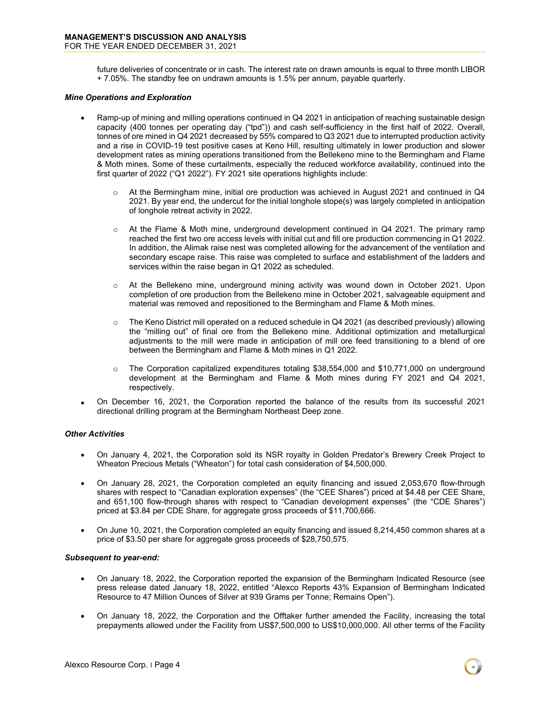future deliveries of concentrate or in cash. The interest rate on drawn amounts is equal to three month LIBOR + 7.05%. The standby fee on undrawn amounts is 1.5% per annum, payable quarterly.

#### *Mine Operations and Exploration*

- Ramp-up of mining and milling operations continued in Q4 2021 in anticipation of reaching sustainable design capacity (400 tonnes per operating day ("tpd")) and cash self-sufficiency in the first half of 2022. Overall, tonnes of ore mined in Q4 2021 decreased by 55% compared to Q3 2021 due to interrupted production activity and a rise in COVID-19 test positive cases at Keno Hill, resulting ultimately in lower production and slower development rates as mining operations transitioned from the Bellekeno mine to the Bermingham and Flame & Moth mines. Some of these curtailments, especially the reduced workforce availability, continued into the first quarter of 2022 ("Q1 2022"). FY 2021 site operations highlights include:
	- $\circ$  At the Bermingham mine, initial ore production was achieved in August 2021 and continued in Q4 2021. By year end, the undercut for the initial longhole stope(s) was largely completed in anticipation of longhole retreat activity in 2022.
	- $\circ$  At the Flame & Moth mine, underground development continued in Q4 2021. The primary ramp reached the first two ore access levels with initial cut and fill ore production commencing in Q1 2022. In addition, the Alimak raise nest was completed allowing for the advancement of the ventilation and secondary escape raise. This raise was completed to surface and establishment of the ladders and services within the raise began in Q1 2022 as scheduled.
	- o At the Bellekeno mine, underground mining activity was wound down in October 2021. Upon completion of ore production from the Bellekeno mine in October 2021, salvageable equipment and material was removed and repositioned to the Bermingham and Flame & Moth mines.
	- $\circ$  The Keno District mill operated on a reduced schedule in Q4 2021 (as described previously) allowing the "milling out" of final ore from the Bellekeno mine. Additional optimization and metallurgical adjustments to the mill were made in anticipation of mill ore feed transitioning to a blend of ore between the Bermingham and Flame & Moth mines in Q1 2022.
	- $\circ$  The Corporation capitalized expenditures totaling \$38,554,000 and \$10,771,000 on underground development at the Bermingham and Flame & Moth mines during FY 2021 and Q4 2021, respectively.
- On December 16, 2021, the Corporation reported the balance of the results from its successful 2021 directional drilling program at the Bermingham Northeast Deep zone.

#### *Other Activities*

- On January 4, 2021, the Corporation sold its NSR royalty in Golden Predator's Brewery Creek Project to Wheaton Precious Metals ("Wheaton") for total cash consideration of \$4,500,000.
- On January 28, 2021, the Corporation completed an equity financing and issued 2,053,670 flow-through shares with respect to "Canadian exploration expenses" (the "CEE Shares") priced at \$4.48 per CEE Share, and 651,100 flow-through shares with respect to "Canadian development expenses" (the "CDE Shares") priced at \$3.84 per CDE Share, for aggregate gross proceeds of \$11,700,666.
- On June 10, 2021, the Corporation completed an equity financing and issued 8,214,450 common shares at a price of \$3.50 per share for aggregate gross proceeds of \$28,750,575.

#### *Subsequent to year-end:*

- On January 18, 2022, the Corporation reported the expansion of the Bermingham Indicated Resource (see press release dated January 18, 2022, entitled "Alexco Reports 43% Expansion of Bermingham Indicated Resource to 47 Million Ounces of Silver at 939 Grams per Tonne; Remains Open").
- On January 18, 2022, the Corporation and the Offtaker further amended the Facility, increasing the total prepayments allowed under the Facility from US\$7,500,000 to US\$10,000,000. All other terms of the Facility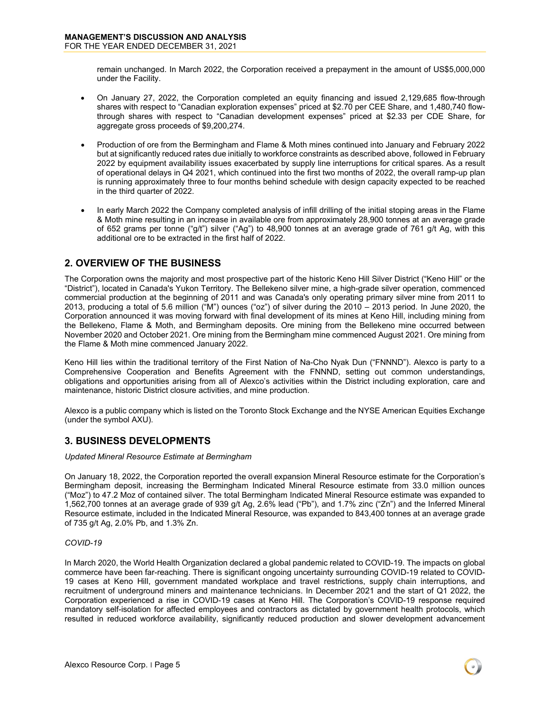remain unchanged. In March 2022, the Corporation received a prepayment in the amount of US\$5,000,000 under the Facility.

- On January 27, 2022, the Corporation completed an equity financing and issued 2,129,685 flow-through shares with respect to "Canadian exploration expenses" priced at \$2.70 per CEE Share, and 1,480,740 flowthrough shares with respect to "Canadian development expenses" priced at \$2.33 per CDE Share, for aggregate gross proceeds of \$9,200,274.
- Production of ore from the Bermingham and Flame & Moth mines continued into January and February 2022 but at significantly reduced rates due initially to workforce constraints as described above, followed in February 2022 by equipment availability issues exacerbated by supply line interruptions for critical spares. As a result of operational delays in Q4 2021, which continued into the first two months of 2022, the overall ramp-up plan is running approximately three to four months behind schedule with design capacity expected to be reached in the third quarter of 2022.
- In early March 2022 the Company completed analysis of infill drilling of the initial stoping areas in the Flame & Moth mine resulting in an increase in available ore from approximately 28,900 tonnes at an average grade of 652 grams per tonne ("g/t") silver ("Ag") to 48,900 tonnes at an average grade of 761 g/t Ag, with this additional ore to be extracted in the first half of 2022.

## <span id="page-4-0"></span>**2. OVERVIEW OF THE BUSINESS**

The Corporation owns the majority and most prospective part of the historic Keno Hill Silver District ("Keno Hill" or the "District"), located in Canada's Yukon Territory. The Bellekeno silver mine, a high-grade silver operation, commenced commercial production at the beginning of 2011 and was Canada's only operating primary silver mine from 2011 to 2013, producing a total of 5.6 million ("M") ounces ("oz") of silver during the 2010 – 2013 period. In June 2020, the Corporation announced it was moving forward with final development of its mines at Keno Hill, including mining from the Bellekeno, Flame & Moth, and Bermingham deposits. Ore mining from the Bellekeno mine occurred between November 2020 and October 2021. Ore mining from the Bermingham mine commenced August 2021. Ore mining from the Flame & Moth mine commenced January 2022.

Keno Hill lies within the traditional territory of the First Nation of Na-Cho Nyak Dun ("FNNND"). Alexco is party to a Comprehensive Cooperation and Benefits Agreement with the FNNND, setting out common understandings, obligations and opportunities arising from all of Alexco's activities within the District including exploration, care and maintenance, historic District closure activities, and mine production.

Alexco is a public company which is listed on the Toronto Stock Exchange and the NYSE American Equities Exchange (under the symbol AXU).

## <span id="page-4-1"></span>**3. BUSINESS DEVELOPMENTS**

#### *Updated Mineral Resource Estimate at Bermingham*

On January 18, 2022, the Corporation reported the overall expansion Mineral Resource estimate for the Corporation's Bermingham deposit, increasing the Bermingham Indicated Mineral Resource estimate from 33.0 million ounces ("Moz") to 47.2 Moz of contained silver. The total Bermingham Indicated Mineral Resource estimate was expanded to 1,562,700 tonnes at an average grade of 939 g/t Ag, 2.6% lead ("Pb"), and 1.7% zinc ("Zn") and the Inferred Mineral Resource estimate, included in the Indicated Mineral Resource, was expanded to 843,400 tonnes at an average grade of 735 g/t Ag, 2.0% Pb, and 1.3% Zn.

#### *COVID-19*

In March 2020, the World Health Organization declared a global pandemic related to COVID-19. The impacts on global commerce have been far-reaching. There is significant ongoing uncertainty surrounding COVID-19 related to COVID-19 cases at Keno Hill, government mandated workplace and travel restrictions, supply chain interruptions, and recruitment of underground miners and maintenance technicians. In December 2021 and the start of Q1 2022, the Corporation experienced a rise in COVID-19 cases at Keno Hill. The Corporation's COVID-19 response required mandatory self-isolation for affected employees and contractors as dictated by government health protocols, which resulted in reduced workforce availability, significantly reduced production and slower development advancement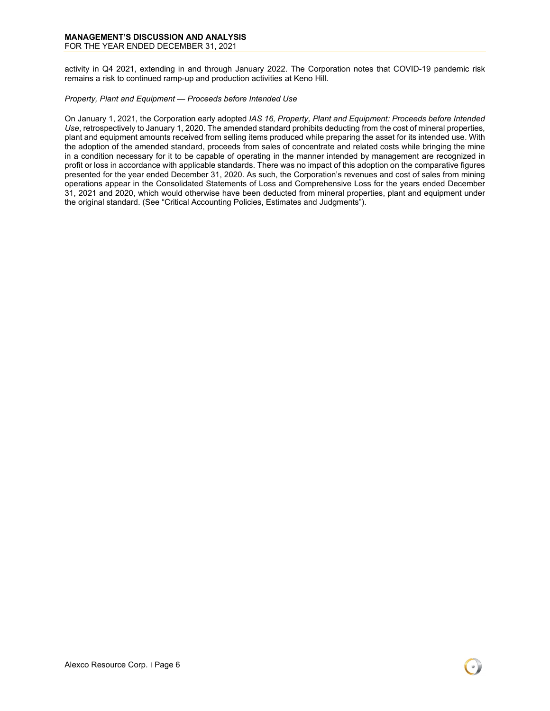#### **MANAGEMENT'S DISCUSSION AND ANALYSIS** FOR THE YEAR ENDED DECEMBER 31, 2021

activity in Q4 2021, extending in and through January 2022. The Corporation notes that COVID-19 pandemic risk remains a risk to continued ramp-up and production activities at Keno Hill.

#### *Property, Plant and Equipment — Proceeds before Intended Use*

On January 1, 2021, the Corporation early adopted *IAS 16, Property, Plant and Equipment: Proceeds before Intended Use*, retrospectively to January 1, 2020. The amended standard prohibits deducting from the cost of mineral properties, plant and equipment amounts received from selling items produced while preparing the asset for its intended use. With the adoption of the amended standard, proceeds from sales of concentrate and related costs while bringing the mine in a condition necessary for it to be capable of operating in the manner intended by management are recognized in profit or loss in accordance with applicable standards. There was no impact of this adoption on the comparative figures presented for the year ended December 31, 2020. As such, the Corporation's revenues and cost of sales from mining operations appear in the Consolidated Statements of Loss and Comprehensive Loss for the years ended December 31, 2021 and 2020, which would otherwise have been deducted from mineral properties, plant and equipment under the original standard. (See "Critical Accounting Policies, Estimates and Judgments").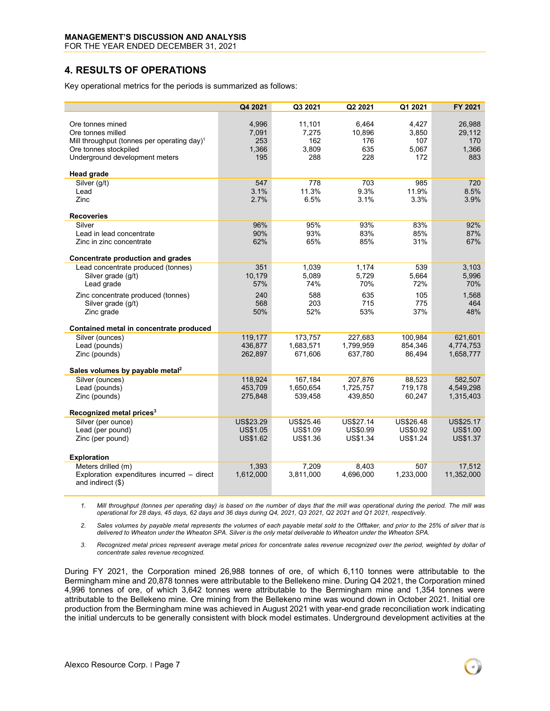FOR THE YEAR ENDED DECEMBER 31, 2021

## <span id="page-6-0"></span>**4. RESULTS OF OPERATIONS**

Key operational metrics for the periods is summarized as follows:

|                                                                                                                                                             | Q4 2021                               | Q3 2021                                | Q2 2021                              | Q1 2021                               | FY 2021                                 |
|-------------------------------------------------------------------------------------------------------------------------------------------------------------|---------------------------------------|----------------------------------------|--------------------------------------|---------------------------------------|-----------------------------------------|
| Ore tonnes mined<br>Ore tonnes milled<br>Mill throughput (tonnes per operating day) <sup>1</sup><br>Ore tonnes stockpiled<br>Underground development meters | 4,996<br>7,091<br>253<br>1,366<br>195 | 11,101<br>7,275<br>162<br>3,809<br>288 | 6,464<br>10,896<br>176<br>635<br>228 | 4,427<br>3,850<br>107<br>5,067<br>172 | 26,988<br>29,112<br>170<br>1.366<br>883 |
| <b>Head grade</b><br>Silver (g/t)                                                                                                                           | 547                                   | 778                                    | 703                                  | 985                                   | 720                                     |
| Lead<br>Zinc<br><b>Recoveries</b>                                                                                                                           | 3.1%<br>2.7%                          | 11.3%<br>6.5%                          | 9.3%<br>3.1%                         | 11.9%<br>3.3%                         | 8.5%<br>3.9%                            |
| Silver                                                                                                                                                      | 96%                                   | 95%                                    | 93%                                  | 83%                                   | 92%                                     |
| Lead in lead concentrate<br>Zinc in zinc concentrate                                                                                                        | 90%<br>62%                            | 93%<br>65%                             | 83%<br>85%                           | 85%<br>31%                            | 87%<br>67%                              |
| <b>Concentrate production and grades</b>                                                                                                                    |                                       |                                        |                                      |                                       |                                         |
| Lead concentrate produced (tonnes)<br>Silver grade (g/t)<br>Lead grade                                                                                      | 351<br>10,179<br>57%                  | 1,039<br>5,089<br>74%                  | 1,174<br>5,729<br>70%                | 539<br>5,664<br>72%                   | 3,103<br>5,996<br>70%                   |
| Zinc concentrate produced (tonnes)<br>Silver grade (g/t)<br>Zinc grade                                                                                      | 240<br>568<br>50%                     | 588<br>203<br>52%                      | 635<br>715<br>53%                    | 105<br>775<br>37%                     | 1,568<br>464<br>48%                     |
| Contained metal in concentrate produced                                                                                                                     |                                       |                                        |                                      |                                       |                                         |
| Silver (ounces)<br>Lead (pounds)<br>Zinc (pounds)                                                                                                           | 119,177<br>436,877<br>262,897         | 173,757<br>1,683,571<br>671,606        | 227,683<br>1,799,959<br>637,780      | 100,984<br>854,346<br>86,494          | 621,601<br>4,774,753<br>1,658,777       |
| Sales volumes by payable metal <sup>2</sup>                                                                                                                 |                                       |                                        |                                      |                                       |                                         |
| Silver (ounces)<br>Lead (pounds)<br>Zinc (pounds)                                                                                                           | 118,924<br>453,709<br>275,848         | 167,184<br>1,650,654<br>539,458        | 207.876<br>1,725,757<br>439,850      | 88,523<br>719,178<br>60,247           | 582,507<br>4,549,298<br>1,315,403       |
| Recognized metal prices <sup>3</sup><br>Silver (per ounce)                                                                                                  | <b>US\$23.29</b>                      | US\$25.46                              | US\$27.14                            | US\$26.48                             | US\$25.17                               |
| Lead (per pound)<br>Zinc (per pound)                                                                                                                        | <b>US\$1.05</b><br><b>US\$1.62</b>    | US\$1.09<br>US\$1.36                   | <b>US\$0.99</b><br>US\$1.34          | <b>US\$0.92</b><br>US\$1.24           | <b>US\$1.00</b><br>US\$1.37             |
| <b>Exploration</b><br>Meters drilled (m)                                                                                                                    | 1,393                                 | 7,209                                  | 8,403                                | 507                                   | 17,512                                  |
| Exploration expenditures incurred - direct<br>and indirect (\$)                                                                                             | 1,612,000                             | 3,811,000                              | 4,696,000                            | 1,233,000                             | 11,352,000                              |

*1. Mill throughput (tonnes per operating day) is based on the number of days that the mill was operational during the period. The mill was operational for 28 days, 45 days, 62 days and 36 days during Q4, 2021, Q3 2021, Q2 2021 and Q1 2021, respectively.*

*2. Sales volumes by payable metal represents the volumes of each payable metal sold to the Offtaker, and prior to the 25% of silver that is delivered to Wheaton under the Wheaton SPA. Silver is the only metal deliverable to Wheaton under the Wheaton SPA.*

*3. Recognized metal prices represent average metal prices for concentrate sales revenue recognized over the period, weighted by dollar of concentrate sales revenue recognized.*

During FY 2021, the Corporation mined 26,988 tonnes of ore, of which 6,110 tonnes were attributable to the Bermingham mine and 20,878 tonnes were attributable to the Bellekeno mine. During Q4 2021, the Corporation mined 4,996 tonnes of ore, of which 3,642 tonnes were attributable to the Bermingham mine and 1,354 tonnes were attributable to the Bellekeno mine. Ore mining from the Bellekeno mine was wound down in October 2021. Initial ore production from the Bermingham mine was achieved in August 2021 with year-end grade reconciliation work indicating the initial undercuts to be generally consistent with block model estimates. Underground development activities at the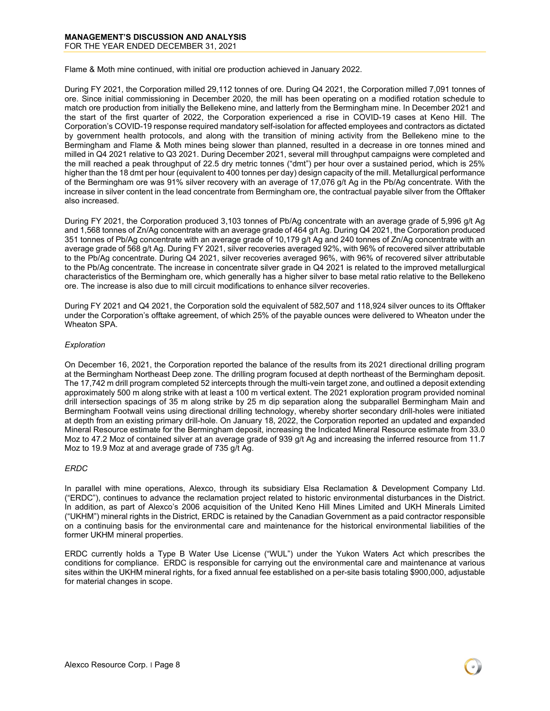Flame & Moth mine continued, with initial ore production achieved in January 2022.

During FY 2021, the Corporation milled 29,112 tonnes of ore. During Q4 2021, the Corporation milled 7,091 tonnes of ore. Since initial commissioning in December 2020, the mill has been operating on a modified rotation schedule to match ore production from initially the Bellekeno mine, and latterly from the Bermingham mine. In December 2021 and the start of the first quarter of 2022, the Corporation experienced a rise in COVID-19 cases at Keno Hill. The Corporation's COVID-19 response required mandatory self-isolation for affected employees and contractors as dictated by government health protocols, and along with the transition of mining activity from the Bellekeno mine to the Bermingham and Flame & Moth mines being slower than planned, resulted in a decrease in ore tonnes mined and milled in Q4 2021 relative to Q3 2021. During December 2021, several mill throughput campaigns were completed and the mill reached a peak throughput of 22.5 dry metric tonnes ("dmt") per hour over a sustained period, which is 25% higher than the 18 dmt per hour (equivalent to 400 tonnes per day) design capacity of the mill. Metallurgical performance of the Bermingham ore was 91% silver recovery with an average of 17,076 g/t Ag in the Pb/Ag concentrate. With the increase in silver content in the lead concentrate from Bermingham ore, the contractual payable silver from the Offtaker also increased.

During FY 2021, the Corporation produced 3,103 tonnes of Pb/Ag concentrate with an average grade of 5,996 g/t Ag and 1,568 tonnes of Zn/Ag concentrate with an average grade of 464 g/t Ag. During Q4 2021, the Corporation produced 351 tonnes of Pb/Ag concentrate with an average grade of 10,179 g/t Ag and 240 tonnes of Zn/Ag concentrate with an average grade of 568 g/t Ag. During FY 2021, silver recoveries averaged 92%, with 96% of recovered silver attributable to the Pb/Ag concentrate. During Q4 2021, silver recoveries averaged 96%, with 96% of recovered silver attributable to the Pb/Ag concentrate. The increase in concentrate silver grade in Q4 2021 is related to the improved metallurgical characteristics of the Bermingham ore, which generally has a higher silver to base metal ratio relative to the Bellekeno ore. The increase is also due to mill circuit modifications to enhance silver recoveries.

During FY 2021 and Q4 2021, the Corporation sold the equivalent of 582,507 and 118,924 silver ounces to its Offtaker under the Corporation's offtake agreement, of which 25% of the payable ounces were delivered to Wheaton under the Wheaton SPA.

#### *Exploration*

On December 16, 2021, the Corporation reported the balance of the results from its 2021 directional drilling program at the Bermingham Northeast Deep zone. The drilling program focused at depth northeast of the Bermingham deposit. The 17,742 m drill program completed 52 intercepts through the multi-vein target zone, and outlined a deposit extending approximately 500 m along strike with at least a 100 m vertical extent. The 2021 exploration program provided nominal drill intersection spacings of 35 m along strike by 25 m dip separation along the subparallel Bermingham Main and Bermingham Footwall veins using directional drilling technology, whereby shorter secondary drill-holes were initiated at depth from an existing primary drill-hole. On January 18, 2022, the Corporation reported an updated and expanded Mineral Resource estimate for the Bermingham deposit, increasing the Indicated Mineral Resource estimate from 33.0 Moz to 47.2 Moz of contained silver at an average grade of 939 g/t Ag and increasing the inferred resource from 11.7 Moz to 19.9 Moz at and average grade of 735 g/t Ag.

#### *ERDC*

In parallel with mine operations, Alexco, through its subsidiary Elsa Reclamation & Development Company Ltd. ("ERDC"), continues to advance the reclamation project related to historic environmental disturbances in the District. In addition, as part of Alexco's 2006 acquisition of the United Keno Hill Mines Limited and UKH Minerals Limited ("UKHM") mineral rights in the District, ERDC is retained by the Canadian Government as a paid contractor responsible on a continuing basis for the environmental care and maintenance for the historical environmental liabilities of the former UKHM mineral properties.

ERDC currently holds a Type B Water Use License ("WUL") under the Yukon Waters Act which prescribes the conditions for compliance. ERDC is responsible for carrying out the environmental care and maintenance at various sites within the UKHM mineral rights, for a fixed annual fee established on a per-site basis totaling \$900,000, adjustable for material changes in scope.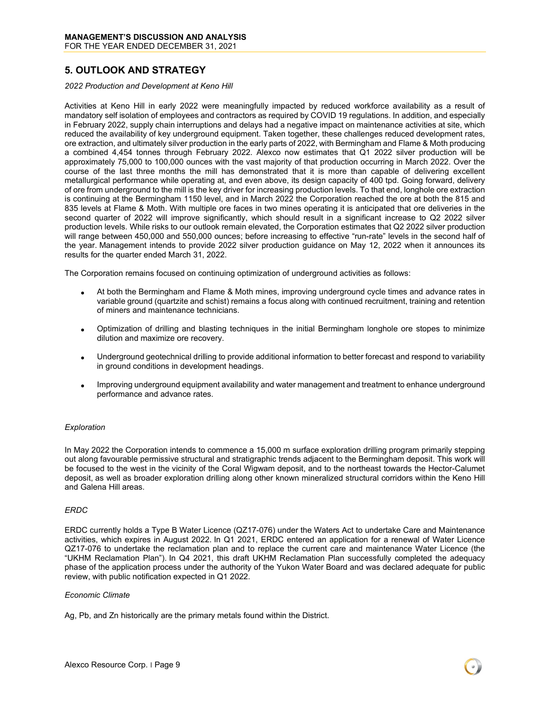## <span id="page-8-0"></span>**5. OUTLOOK AND STRATEGY**

#### *2022 Production and Development at Keno Hill*

Activities at Keno Hill in early 2022 were meaningfully impacted by reduced workforce availability as a result of mandatory self isolation of employees and contractors as required by COVID 19 regulations. In addition, and especially in February 2022, supply chain interruptions and delays had a negative impact on maintenance activities at site, which reduced the availability of key underground equipment. Taken together, these challenges reduced development rates, ore extraction, and ultimately silver production in the early parts of 2022, with Bermingham and Flame & Moth producing a combined 4,454 tonnes through February 2022. Alexco now estimates that Q1 2022 silver production will be approximately 75,000 to 100,000 ounces with the vast majority of that production occurring in March 2022. Over the course of the last three months the mill has demonstrated that it is more than capable of delivering excellent metallurgical performance while operating at, and even above, its design capacity of 400 tpd. Going forward, delivery of ore from underground to the mill is the key driver for increasing production levels. To that end, longhole ore extraction is continuing at the Bermingham 1150 level, and in March 2022 the Corporation reached the ore at both the 815 and 835 levels at Flame & Moth. With multiple ore faces in two mines operating it is anticipated that ore deliveries in the second quarter of 2022 will improve significantly, which should result in a significant increase to Q2 2022 silver production levels. While risks to our outlook remain elevated, the Corporation estimates that Q2 2022 silver production will range between 450,000 and 550,000 ounces; before increasing to effective "run-rate" levels in the second half of the year. Management intends to provide 2022 silver production guidance on May 12, 2022 when it announces its results for the quarter ended March 31, 2022.

The Corporation remains focused on continuing optimization of underground activities as follows:

- At both the Bermingham and Flame & Moth mines, improving underground cycle times and advance rates in variable ground (quartzite and schist) remains a focus along with continued recruitment, training and retention of miners and maintenance technicians.
- Optimization of drilling and blasting techniques in the initial Bermingham longhole ore stopes to minimize dilution and maximize ore recovery.
- Underground geotechnical drilling to provide additional information to better forecast and respond to variability in ground conditions in development headings.
- Improving underground equipment availability and water management and treatment to enhance underground performance and advance rates.

#### *Exploration*

In May 2022 the Corporation intends to commence a 15,000 m surface exploration drilling program primarily stepping out along favourable permissive structural and stratigraphic trends adjacent to the Bermingham deposit. This work will be focused to the west in the vicinity of the Coral Wigwam deposit, and to the northeast towards the Hector-Calumet deposit, as well as broader exploration drilling along other known mineralized structural corridors within the Keno Hill and Galena Hill areas.

#### *ERDC*

ERDC currently holds a Type B Water Licence (QZ17-076) under the Waters Act to undertake Care and Maintenance activities, which expires in August 2022. In Q1 2021, ERDC entered an application for a renewal of Water Licence QZ17-076 to undertake the reclamation plan and to replace the current care and maintenance Water Licence (the "UKHM Reclamation Plan"). In Q4 2021, this draft UKHM Reclamation Plan successfully completed the adequacy phase of the application process under the authority of the Yukon Water Board and was declared adequate for public review, with public notification expected in Q1 2022.

#### *Economic Climate*

Ag, Pb, and Zn historically are the primary metals found within the District.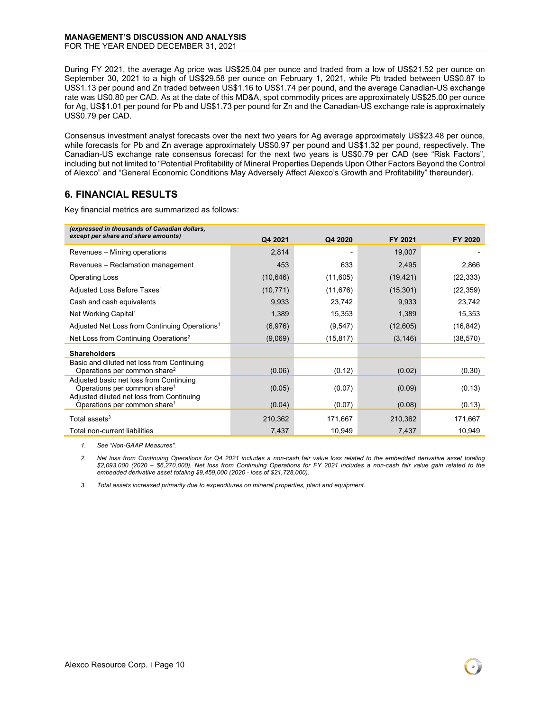#### **MANAGEMENT'S DISCUSSION AND ANALYSIS** FOR THE YEAR ENDED DECEMBER 31, 2021

During FY 2021, the average Ag price was US\$25.04 per ounce and traded from a low of US\$21.52 per ounce on September 30, 2021 to a high of US\$29.58 per ounce on February 1, 2021, while Pb traded between US\$0.87 to US\$1.13 per pound and Zn traded between US\$1.16 to US\$1.74 per pound, and the average Canadian-US exchange rate was US0.80 per CAD. As at the date of this MD&A, spot commodity prices are approximately US\$25.00 per ounce for Ag, US\$1.01 per pound for Pb and US\$1.73 per pound for Zn and the Canadian-US exchange rate is approximately US\$0.79 per CAD.

Consensus investment analyst forecasts over the next two years for Ag average approximately US\$23.48 per ounce, while forecasts for Pb and Zn average approximately US\$0.97 per pound and US\$1.32 per pound, respectively. The Canadian-US exchange rate consensus forecast for the next two years is US\$0.79 per CAD (see "Risk Factors", including but not limited to "Potential Profitability of Mineral Properties Depends Upon Other Factors Beyond the Control of Alexco" and "General Economic Conditions May Adversely Affect Alexco's Growth and Profitability" thereunder).

## <span id="page-9-0"></span>**6. FINANCIAL RESULTS**

Key financial metrics are summarized as follows:

| (expressed in thousands of Canadian dollars,                                                                                     |           |           |           |           |
|----------------------------------------------------------------------------------------------------------------------------------|-----------|-----------|-----------|-----------|
| except per share and share amounts)                                                                                              | Q4 2021   | Q4 2020   | FY 2021   | FY 2020   |
| Revenues - Mining operations                                                                                                     | 2,814     |           | 19,007    |           |
| Revenues - Reclamation management                                                                                                | 453       | 633       | 2,495     | 2,866     |
| <b>Operating Loss</b>                                                                                                            | (10, 646) | (11,605)  | (19, 421) | (22, 333) |
| Adjusted Loss Before Taxes <sup>1</sup>                                                                                          | (10, 771) | (11, 676) | (15, 301) | (22, 359) |
| Cash and cash equivalents                                                                                                        | 9,933     | 23,742    | 9,933     | 23,742    |
| Net Working Capital <sup>1</sup>                                                                                                 | 1,389     | 15,353    | 1,389     | 15,353    |
| Adjusted Net Loss from Continuing Operations <sup>1</sup>                                                                        | (6,976)   | (9, 547)  | (12,605)  | (16, 842) |
| Net Loss from Continuing Operations <sup>2</sup>                                                                                 | (9,069)   | (15, 817) | (3, 146)  | (38, 570) |
| <b>Shareholders</b>                                                                                                              |           |           |           |           |
| Basic and diluted net loss from Continuing<br>Operations per common share <sup>2</sup>                                           | (0.06)    | (0.12)    | (0.02)    | (0.30)    |
| Adjusted basic net loss from Continuing<br>Operations per common share <sup>1</sup><br>Adjusted diluted net loss from Continuing | (0.05)    | (0.07)    | (0.09)    | (0.13)    |
| Operations per common share <sup>1</sup>                                                                                         | (0.04)    | (0.07)    | (0.08)    | (0.13)    |
| Total assets $3$                                                                                                                 | 210,362   | 171,667   | 210,362   | 171,667   |
| Total non-current liabilities                                                                                                    | 7,437     | 10,949    | 7,437     | 10,949    |

*1. See "Non-GAAP Measures".*

*2. Net loss from Continuing Operations for Q4 2021 includes a non-cash fair value loss related to the embedded derivative asset totaling \$2,093,000 (2020 – \$6,270,000). Net loss from Continuing Operations for FY 2021 includes a non-cash fair value gain related to the embedded derivative asset totaling \$9,459,000 (2020 - loss of \$21,728,000).*

*3. Total assets increased primarily due to expenditures on mineral properties, plant and equipment.*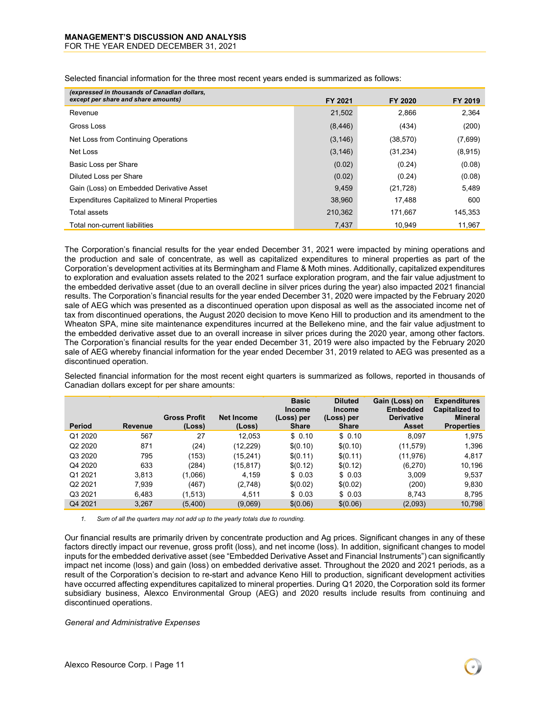| (expressed in thousands of Canadian dollars,<br>except per share and share amounts) | FY 2021  | FY 2020   | FY 2019 |
|-------------------------------------------------------------------------------------|----------|-----------|---------|
| Revenue                                                                             | 21,502   | 2,866     | 2.364   |
| Gross Loss                                                                          | (8, 446) | (434)     | (200)   |
| Net Loss from Continuing Operations                                                 | (3, 146) | (38, 570) | (7,699) |
| Net Loss                                                                            | (3, 146) | (31, 234) | (8,915) |
| Basic Loss per Share                                                                | (0.02)   | (0.24)    | (0.08)  |
| Diluted Loss per Share                                                              | (0.02)   | (0.24)    | (0.08)  |
| Gain (Loss) on Embedded Derivative Asset                                            | 9,459    | (21, 728) | 5,489   |
| <b>Expenditures Capitalized to Mineral Properties</b>                               | 38.960   | 17.488    | 600     |
| Total assets                                                                        | 210.362  | 171.667   | 145.353 |
| Total non-current liabilities                                                       | 7,437    | 10.949    | 11,967  |

Selected financial information for the three most recent years ended is summarized as follows:

The Corporation's financial results for the year ended December 31, 2021 were impacted by mining operations and the production and sale of concentrate, as well as capitalized expenditures to mineral properties as part of the Corporation's development activities at its Bermingham and Flame & Moth mines. Additionally, capitalized expenditures to exploration and evaluation assets related to the 2021 surface exploration program, and the fair value adjustment to the embedded derivative asset (due to an overall decline in silver prices during the year) also impacted 2021 financial results. The Corporation's financial results for the year ended December 31, 2020 were impacted by the February 2020 sale of AEG which was presented as a discontinued operation upon disposal as well as the associated income net of tax from discontinued operations, the August 2020 decision to move Keno Hill to production and its amendment to the Wheaton SPA, mine site maintenance expenditures incurred at the Bellekeno mine, and the fair value adjustment to the embedded derivative asset due to an overall increase in silver prices during the 2020 year, among other factors. The Corporation's financial results for the year ended December 31, 2019 were also impacted by the February 2020 sale of AEG whereby financial information for the year ended December 31, 2019 related to AEG was presented as a discontinued operation.

Selected financial information for the most recent eight quarters is summarized as follows, reported in thousands of Canadian dollars except for per share amounts:

|                     |                |                               |                      | <b>Basic</b><br><b>Income</b> | <b>Diluted</b><br><b>Income</b> | Gain (Loss) on<br><b>Embedded</b> | <b>Expenditures</b><br><b>Capitalized to</b> |
|---------------------|----------------|-------------------------------|----------------------|-------------------------------|---------------------------------|-----------------------------------|----------------------------------------------|
| Period              | <b>Revenue</b> | <b>Gross Profit</b><br>(Loss) | Net Income<br>(Loss) | (Loss) per<br><b>Share</b>    | (Loss) per<br><b>Share</b>      | <b>Derivative</b><br>Asset        | <b>Mineral</b><br><b>Properties</b>          |
| Q1 2020             | 567            | 27                            | 12,053               | \$0.10                        | \$0.10                          | 8,097                             | 1,975                                        |
| Q2 2020             | 871            | (24)                          | (12, 229)            | \$(0.10)                      | \$(0.10)                        | (11, 579)                         | 1,396                                        |
| Q3 2020             | 795            | (153)                         | (15, 241)            | \$(0.11)                      | \$(0.11)                        | (11,976)                          | 4,817                                        |
| Q4 2020             | 633            | (284)                         | (15, 817)            | \$(0.12)                      | \$(0.12)                        | (6,270)                           | 10,196                                       |
| Q1 2021             | 3,813          | (1,066)                       | 4.159                | \$0.03                        | \$0.03                          | 3.009                             | 9,537                                        |
| Q <sub>2</sub> 2021 | 7,939          | (467)                         | (2,748)              | \$(0.02)                      | \$(0.02)                        | (200)                             | 9,830                                        |
| Q3 2021             | 6.483          | (1,513)                       | 4,511                | \$0.03                        | \$0.03                          | 8,743                             | 8,795                                        |
| Q4 2021             | 3,267          | (5,400)                       | (9,069)              | \$(0.06)                      | \$(0.06)                        | (2,093)                           | 10,798                                       |

*1. Sum of all the quarters may not add up to the yearly totals due to rounding.*

Our financial results are primarily driven by concentrate production and Ag prices. Significant changes in any of these factors directly impact our revenue, gross profit (loss), and net income (loss). In addition, significant changes to model inputs for the embedded derivative asset (see "Embedded Derivative Asset and Financial Instruments") can significantly impact net income (loss) and gain (loss) on embedded derivative asset. Throughout the 2020 and 2021 periods, as a result of the Corporation's decision to re-start and advance Keno Hill to production, significant development activities have occurred affecting expenditures capitalized to mineral properties. During Q1 2020, the Corporation sold its former subsidiary business, Alexco Environmental Group (AEG) and 2020 results include results from continuing and discontinued operations.

#### *General and Administrative Expenses*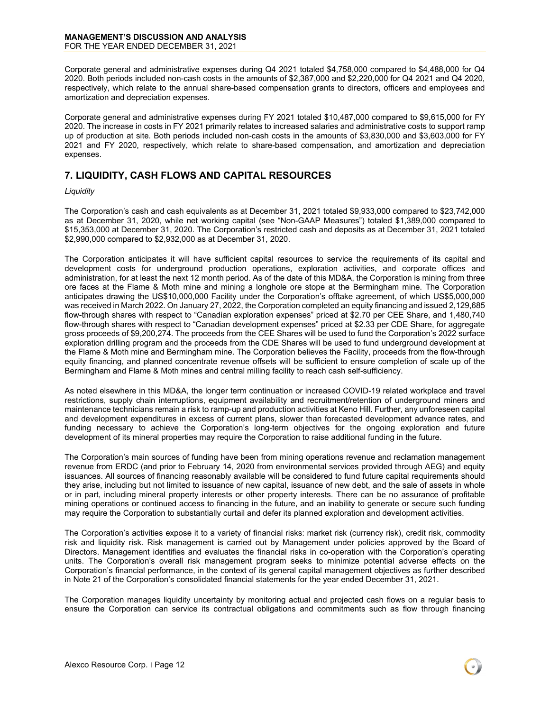Corporate general and administrative expenses during Q4 2021 totaled \$4,758,000 compared to \$4,488,000 for Q4 2020. Both periods included non-cash costs in the amounts of \$2,387,000 and \$2,220,000 for Q4 2021 and Q4 2020, respectively, which relate to the annual share-based compensation grants to directors, officers and employees and amortization and depreciation expenses.

Corporate general and administrative expenses during FY 2021 totaled \$10,487,000 compared to \$9,615,000 for FY 2020. The increase in costs in FY 2021 primarily relates to increased salaries and administrative costs to support ramp up of production at site. Both periods included non-cash costs in the amounts of \$3,830,000 and \$3,603,000 for FY 2021 and FY 2020, respectively, which relate to share-based compensation, and amortization and depreciation expenses.

## <span id="page-11-0"></span>**7. LIQUIDITY, CASH FLOWS AND CAPITAL RESOURCES**

#### *Liquidity*

The Corporation's cash and cash equivalents as at December 31, 2021 totaled \$9,933,000 compared to \$23,742,000 as at December 31, 2020, while net working capital (see "Non-GAAP Measures") totaled \$1,389,000 compared to \$15,353,000 at December 31, 2020. The Corporation's restricted cash and deposits as at December 31, 2021 totaled \$2,990,000 compared to \$2,932,000 as at December 31, 2020.

The Corporation anticipates it will have sufficient capital resources to service the requirements of its capital and development costs for underground production operations, exploration activities, and corporate offices and administration, for at least the next 12 month period. As of the date of this MD&A, the Corporation is mining from three ore faces at the Flame & Moth mine and mining a longhole ore stope at the Bermingham mine. The Corporation anticipates drawing the US\$10,000,000 Facility under the Corporation's offtake agreement, of which US\$5,000,000 was received in March 2022. On January 27, 2022, the Corporation completed an equity financing and issued 2,129,685 flow-through shares with respect to "Canadian exploration expenses" priced at \$2.70 per CEE Share, and 1,480,740 flow-through shares with respect to "Canadian development expenses" priced at \$2.33 per CDE Share, for aggregate gross proceeds of \$9,200,274. The proceeds from the CEE Shares will be used to fund the Corporation's 2022 surface exploration drilling program and the proceeds from the CDE Shares will be used to fund underground development at the Flame & Moth mine and Bermingham mine. The Corporation believes the Facility, proceeds from the flow-through equity financing, and planned concentrate revenue offsets will be sufficient to ensure completion of scale up of the Bermingham and Flame & Moth mines and central milling facility to reach cash self-sufficiency.

As noted elsewhere in this MD&A, the longer term continuation or increased COVID-19 related workplace and travel restrictions, supply chain interruptions, equipment availability and recruitment/retention of underground miners and maintenance technicians remain a risk to ramp-up and production activities at Keno Hill. Further, any unforeseen capital and development expenditures in excess of current plans, slower than forecasted development advance rates, and funding necessary to achieve the Corporation's long-term objectives for the ongoing exploration and future development of its mineral properties may require the Corporation to raise additional funding in the future.

The Corporation's main sources of funding have been from mining operations revenue and reclamation management revenue from ERDC (and prior to February 14, 2020 from environmental services provided through AEG) and equity issuances. All sources of financing reasonably available will be considered to fund future capital requirements should they arise, including but not limited to issuance of new capital, issuance of new debt, and the sale of assets in whole or in part, including mineral property interests or other property interests. There can be no assurance of profitable mining operations or continued access to financing in the future, and an inability to generate or secure such funding may require the Corporation to substantially curtail and defer its planned exploration and development activities.

The Corporation's activities expose it to a variety of financial risks: market risk (currency risk), credit risk, commodity risk and liquidity risk. Risk management is carried out by Management under policies approved by the Board of Directors. Management identifies and evaluates the financial risks in co-operation with the Corporation's operating units. The Corporation's overall risk management program seeks to minimize potential adverse effects on the Corporation's financial performance, in the context of its general capital management objectives as further described in Note 21 of the Corporation's consolidated financial statements for the year ended December 31, 2021.

The Corporation manages liquidity uncertainty by monitoring actual and projected cash flows on a regular basis to ensure the Corporation can service its contractual obligations and commitments such as flow through financing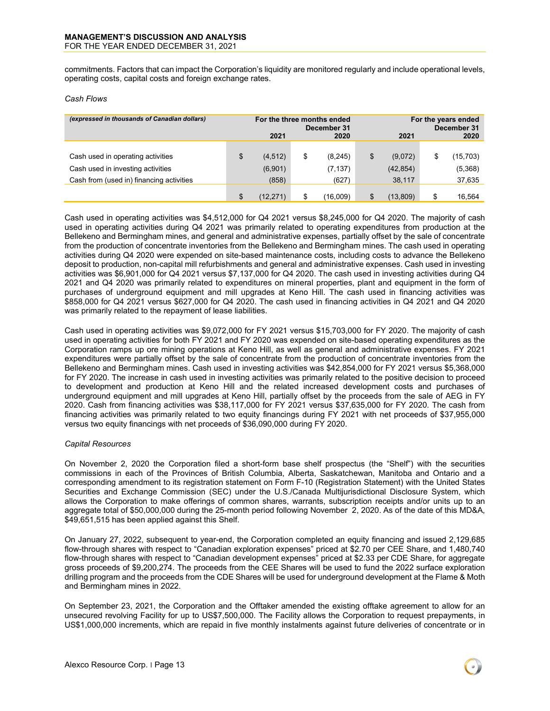commitments. Factors that can impact the Corporation's liquidity are monitored regularly and include operational levels, operating costs, capital costs and foreign exchange rates.

#### *Cash Flows*

| (expressed in thousands of Canadian dollars) | For the three months ended<br>December 31 |          |    |          | For the years ended<br>December 31 |                 |
|----------------------------------------------|-------------------------------------------|----------|----|----------|------------------------------------|-----------------|
|                                              |                                           | 2021     |    | 2020     | 2021                               | 2020            |
|                                              |                                           |          |    |          |                                    |                 |
| Cash used in operating activities            |                                           | (4, 512) | \$ | (8, 245) | \$<br>(9,072)                      | \$<br>(15, 703) |
| Cash used in investing activities            |                                           | (6,901)  |    | (7, 137) | (42, 854)                          | (5,368)         |
| Cash from (used in) financing activities     |                                           | (858)    |    | (627)    | 38,117                             | 37,635          |
|                                              |                                           |          |    |          |                                    |                 |
|                                              |                                           | (12.271) | \$ | (16.009) | \$<br>(13.809)                     | \$<br>16,564    |

Cash used in operating activities was \$4,512,000 for Q4 2021 versus \$8,245,000 for Q4 2020. The majority of cash used in operating activities during Q4 2021 was primarily related to operating expenditures from production at the Bellekeno and Bermingham mines, and general and administrative expenses, partially offset by the sale of concentrate from the production of concentrate inventories from the Bellekeno and Bermingham mines. The cash used in operating activities during Q4 2020 were expended on site-based maintenance costs, including costs to advance the Bellekeno deposit to production, non-capital mill refurbishments and general and administrative expenses. Cash used in investing activities was \$6,901,000 for Q4 2021 versus \$7,137,000 for Q4 2020. The cash used in investing activities during Q4 2021 and Q4 2020 was primarily related to expenditures on mineral properties, plant and equipment in the form of purchases of underground equipment and mill upgrades at Keno Hill. The cash used in financing activities was \$858,000 for Q4 2021 versus \$627,000 for Q4 2020. The cash used in financing activities in Q4 2021 and Q4 2020 was primarily related to the repayment of lease liabilities.

Cash used in operating activities was \$9,072,000 for FY 2021 versus \$15,703,000 for FY 2020. The majority of cash used in operating activities for both FY 2021 and FY 2020 was expended on site-based operating expenditures as the Corporation ramps up ore mining operations at Keno Hill, as well as general and administrative expenses. FY 2021 expenditures were partially offset by the sale of concentrate from the production of concentrate inventories from the Bellekeno and Bermingham mines. Cash used in investing activities was \$42,854,000 for FY 2021 versus \$5,368,000 for FY 2020. The increase in cash used in investing activities was primarily related to the positive decision to proceed to development and production at Keno Hill and the related increased development costs and purchases of underground equipment and mill upgrades at Keno Hill, partially offset by the proceeds from the sale of AEG in FY 2020. Cash from financing activities was \$38,117,000 for FY 2021 versus \$37,635,000 for FY 2020. The cash from financing activities was primarily related to two equity financings during FY 2021 with net proceeds of \$37,955,000 versus two equity financings with net proceeds of \$36,090,000 during FY 2020.

#### *Capital Resources*

On November 2, 2020 the Corporation filed a short-form base shelf prospectus (the "Shelf") with the securities commissions in each of the Provinces of British Columbia, Alberta, Saskatchewan, Manitoba and Ontario and a corresponding amendment to its registration statement on Form F-10 (Registration Statement) with the United States Securities and Exchange Commission (SEC) under the U.S./Canada Multijurisdictional Disclosure System, which allows the Corporation to make offerings of common shares, warrants, subscription receipts and/or units up to an aggregate total of \$50,000,000 during the 25-month period following November 2, 2020. As of the date of this MD&A, \$49,651,515 has been applied against this Shelf.

On January 27, 2022, subsequent to year-end, the Corporation completed an equity financing and issued 2,129,685 flow-through shares with respect to "Canadian exploration expenses" priced at \$2.70 per CEE Share, and 1,480,740 flow-through shares with respect to "Canadian development expenses" priced at \$2.33 per CDE Share, for aggregate gross proceeds of \$9,200,274. The proceeds from the CEE Shares will be used to fund the 2022 surface exploration drilling program and the proceeds from the CDE Shares will be used for underground development at the Flame & Moth and Bermingham mines in 2022.

On September 23, 2021, the Corporation and the Offtaker amended the existing offtake agreement to allow for an unsecured revolving Facility for up to US\$7,500,000. The Facility allows the Corporation to request prepayments, in US\$1,000,000 increments, which are repaid in five monthly instalments against future deliveries of concentrate or in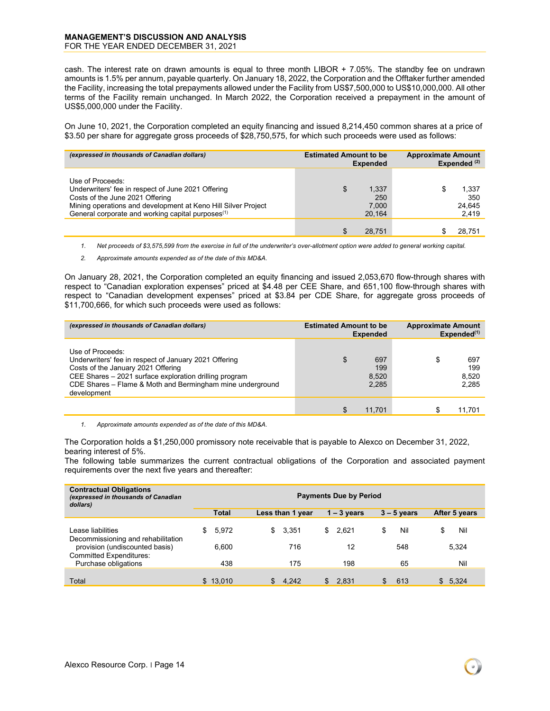#### **MANAGEMENT'S DISCUSSION AND ANALYSIS** FOR THE YEAR ENDED DECEMBER 31, 2021

cash. The interest rate on drawn amounts is equal to three month LIBOR + 7.05%. The standby fee on undrawn amounts is 1.5% per annum, payable quarterly. On January 18, 2022, the Corporation and the Offtaker further amended the Facility, increasing the total prepayments allowed under the Facility from US\$7,500,000 to US\$10,000,000. All other terms of the Facility remain unchanged. In March 2022, the Corporation received a prepayment in the amount of US\$5,000,000 under the Facility.

On June 10, 2021, the Corporation completed an equity financing and issued 8,214,450 common shares at a price of \$3.50 per share for aggregate gross proceeds of \$28,750,575, for which such proceeds were used as follows:

| (expressed in thousands of Canadian dollars)                                                                                                                                                                                                | <b>Estimated Amount to be</b><br><b>Expended</b> | <b>Approximate Amount</b><br>Expended $(2)$ |
|---------------------------------------------------------------------------------------------------------------------------------------------------------------------------------------------------------------------------------------------|--------------------------------------------------|---------------------------------------------|
| Use of Proceeds:<br>Underwriters' fee in respect of June 2021 Offering<br>Costs of the June 2021 Offering<br>Mining operations and development at Keno Hill Silver Project<br>General corporate and working capital purposes <sup>(1)</sup> | 1,337<br>\$<br>250<br>7.000<br>20.164            | 1,337<br>£.<br>350<br>24,645<br>2,419       |
|                                                                                                                                                                                                                                             | 28.751                                           | 28,751                                      |

*1. Net proceeds of \$3,575,599 from the exercise in full of the underwriter's over-allotment option were added to general working capital.* 

*2. Approximate amounts expended as of the date of this MD&A.*

On January 28, 2021, the Corporation completed an equity financing and issued 2,053,670 flow-through shares with respect to "Canadian exploration expenses" priced at \$4.48 per CEE Share, and 651,100 flow-through shares with respect to "Canadian development expenses" priced at \$3.84 per CDE Share, for aggregate gross proceeds of \$11,700,666, for which such proceeds were used as follows:

| (expressed in thousands of Canadian dollars)                                                                                                                                                                                                          | <b>Estimated Amount to be</b><br><b>Expended</b> | <b>Approximate Amount</b><br>Expended <sup>(1)</sup> |  |  |
|-------------------------------------------------------------------------------------------------------------------------------------------------------------------------------------------------------------------------------------------------------|--------------------------------------------------|------------------------------------------------------|--|--|
| Use of Proceeds:<br>Underwriters' fee in respect of January 2021 Offering<br>Costs of the January 2021 Offering<br>CEE Shares - 2021 surface exploration drilling program<br>CDE Shares - Flame & Moth and Bermingham mine underground<br>development | 697<br>\$<br>199<br>8,520<br>2,285               | \$<br>697<br>199<br>8.520<br>2,285                   |  |  |
|                                                                                                                                                                                                                                                       | \$<br>11.701                                     | 11.701                                               |  |  |

*1. Approximate amounts expended as of the date of this MD&A.*

The Corporation holds a \$1,250,000 promissory note receivable that is payable to Alexco on December 31, 2022, bearing interest of 5%.

The following table summarizes the current contractual obligations of the Corporation and associated payment requirements over the next five years and thereafter:

| <b>Contractual Obligations</b><br>(expressed in thousands of Canadian<br>dollars)                                                                   | <b>Payments Due by Period</b>                                                       |                           |                          |                        |                     |  |  |  |
|-----------------------------------------------------------------------------------------------------------------------------------------------------|-------------------------------------------------------------------------------------|---------------------------|--------------------------|------------------------|---------------------|--|--|--|
|                                                                                                                                                     | <b>Total</b><br>After 5 years<br>Less than 1 year<br>$1 - 3$ years<br>$3 - 5$ years |                           |                          |                        |                     |  |  |  |
| Lease liabilities<br>Decommissioning and rehabilitation<br>provision (undiscounted basis)<br><b>Committed Expenditures:</b><br>Purchase obligations | 5.972<br>S.<br>6.600<br>438                                                         | 3.351<br>S.<br>716<br>175 | 2,621<br>\$<br>12<br>198 | \$<br>Nil<br>548<br>65 | Nil<br>5,324<br>Nil |  |  |  |
|                                                                                                                                                     |                                                                                     |                           |                          |                        |                     |  |  |  |
| Total                                                                                                                                               | \$13.010                                                                            | 4.242<br>\$.              | 2.831<br>\$              | 613<br>\$              | \$5,324             |  |  |  |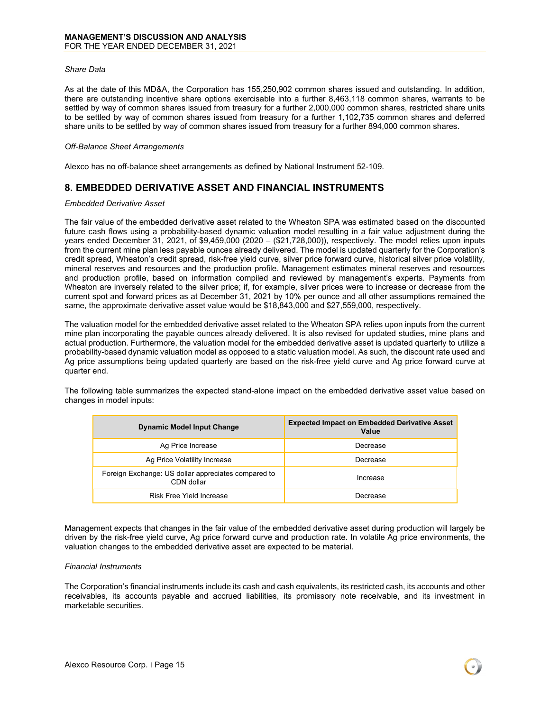#### *Share Data*

As at the date of this MD&A, the Corporation has 155,250,902 common shares issued and outstanding. In addition, there are outstanding incentive share options exercisable into a further 8,463,118 common shares, warrants to be settled by way of common shares issued from treasury for a further 2,000,000 common shares, restricted share units to be settled by way of common shares issued from treasury for a further 1,102,735 common shares and deferred share units to be settled by way of common shares issued from treasury for a further 894,000 common shares.

#### *Off-Balance Sheet Arrangements*

Alexco has no off-balance sheet arrangements as defined by National Instrument 52-109.

## <span id="page-14-0"></span>**8. EMBEDDED DERIVATIVE ASSET AND FINANCIAL INSTRUMENTS**

#### *Embedded Derivative Asset*

The fair value of the embedded derivative asset related to the Wheaton SPA was estimated based on the discounted future cash flows using a probability-based dynamic valuation model resulting in a fair value adjustment during the years ended December 31, 2021, of \$9,459,000 (2020 – (\$21,728,000)), respectively. The model relies upon inputs from the current mine plan less payable ounces already delivered. The model is updated quarterly for the Corporation's credit spread, Wheaton's credit spread, risk-free yield curve, silver price forward curve, historical silver price volatility, mineral reserves and resources and the production profile. Management estimates mineral reserves and resources and production profile, based on information compiled and reviewed by management's experts. Payments from Wheaton are inversely related to the silver price; if, for example, silver prices were to increase or decrease from the current spot and forward prices as at December 31, 2021 by 10% per ounce and all other assumptions remained the same, the approximate derivative asset value would be \$18,843,000 and \$27,559,000, respectively.

The valuation model for the embedded derivative asset related to the Wheaton SPA relies upon inputs from the current mine plan incorporating the payable ounces already delivered. It is also revised for updated studies, mine plans and actual production. Furthermore, the valuation model for the embedded derivative asset is updated quarterly to utilize a probability-based dynamic valuation model as opposed to a static valuation model. As such, the discount rate used and Ag price assumptions being updated quarterly are based on the risk-free yield curve and Ag price forward curve at quarter end.

The following table summarizes the expected stand-alone impact on the embedded derivative asset value based on changes in model inputs:

| <b>Dynamic Model Input Change</b>                                 | <b>Expected Impact on Embedded Derivative Asset</b><br>Value |
|-------------------------------------------------------------------|--------------------------------------------------------------|
| Ag Price Increase                                                 | Decrease                                                     |
| Ag Price Volatility Increase                                      | Decrease                                                     |
| Foreign Exchange: US dollar appreciates compared to<br>CDN dollar | Increase                                                     |
| Risk Free Yield Increase                                          | Decrease                                                     |

Management expects that changes in the fair value of the embedded derivative asset during production will largely be driven by the risk-free yield curve, Ag price forward curve and production rate. In volatile Ag price environments, the valuation changes to the embedded derivative asset are expected to be material.

#### *Financial Instruments*

The Corporation's financial instruments include its cash and cash equivalents, its restricted cash, its accounts and other receivables, its accounts payable and accrued liabilities, its promissory note receivable, and its investment in marketable securities.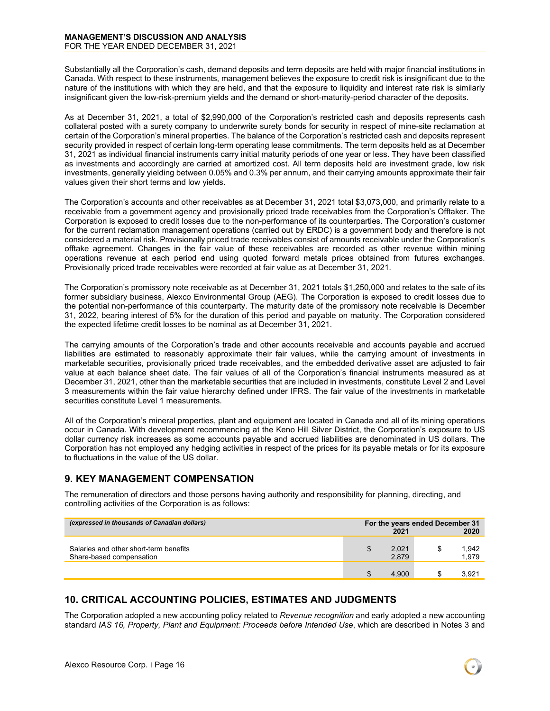Substantially all the Corporation's cash, demand deposits and term deposits are held with major financial institutions in Canada. With respect to these instruments, management believes the exposure to credit risk is insignificant due to the nature of the institutions with which they are held, and that the exposure to liquidity and interest rate risk is similarly insignificant given the low-risk-premium yields and the demand or short-maturity-period character of the deposits.

As at December 31, 2021, a total of \$2,990,000 of the Corporation's restricted cash and deposits represents cash collateral posted with a surety company to underwrite surety bonds for security in respect of mine-site reclamation at certain of the Corporation's mineral properties. The balance of the Corporation's restricted cash and deposits represent security provided in respect of certain long-term operating lease commitments. The term deposits held as at December 31, 2021 as individual financial instruments carry initial maturity periods of one year or less. They have been classified as investments and accordingly are carried at amortized cost. All term deposits held are investment grade, low risk investments, generally yielding between 0.05% and 0.3% per annum, and their carrying amounts approximate their fair values given their short terms and low yields.

The Corporation's accounts and other receivables as at December 31, 2021 total \$3,073,000, and primarily relate to a receivable from a government agency and provisionally priced trade receivables from the Corporation's Offtaker. The Corporation is exposed to credit losses due to the non-performance of its counterparties. The Corporation's customer for the current reclamation management operations (carried out by ERDC) is a government body and therefore is not considered a material risk. Provisionally priced trade receivables consist of amounts receivable under the Corporation's offtake agreement. Changes in the fair value of these receivables are recorded as other revenue within mining operations revenue at each period end using quoted forward metals prices obtained from futures exchanges. Provisionally priced trade receivables were recorded at fair value as at December 31, 2021.

The Corporation's promissory note receivable as at December 31, 2021 totals \$1,250,000 and relates to the sale of its former subsidiary business, Alexco Environmental Group (AEG). The Corporation is exposed to credit losses due to the potential non-performance of this counterparty. The maturity date of the promissory note receivable is December 31, 2022, bearing interest of 5% for the duration of this period and payable on maturity. The Corporation considered the expected lifetime credit losses to be nominal as at December 31, 2021.

The carrying amounts of the Corporation's trade and other accounts receivable and accounts payable and accrued liabilities are estimated to reasonably approximate their fair values, while the carrying amount of investments in marketable securities, provisionally priced trade receivables, and the embedded derivative asset are adjusted to fair value at each balance sheet date. The fair values of all of the Corporation's financial instruments measured as at December 31, 2021, other than the marketable securities that are included in investments, constitute Level 2 and Level 3 measurements within the fair value hierarchy defined under IFRS. The fair value of the investments in marketable securities constitute Level 1 measurements.

All of the Corporation's mineral properties, plant and equipment are located in Canada and all of its mining operations occur in Canada. With development recommencing at the Keno Hill Silver District, the Corporation's exposure to US dollar currency risk increases as some accounts payable and accrued liabilities are denominated in US dollars. The Corporation has not employed any hedging activities in respect of the prices for its payable metals or for its exposure to fluctuations in the value of the US dollar.

## <span id="page-15-0"></span>**9. KEY MANAGEMENT COMPENSATION**

The remuneration of directors and those persons having authority and responsibility for planning, directing, and controlling activities of the Corporation is as follows:

| (expressed in thousands of Canadian dollars)                       | For the years ended December 31<br>2021 |                |  | 2020           |
|--------------------------------------------------------------------|-----------------------------------------|----------------|--|----------------|
| Salaries and other short-term benefits<br>Share-based compensation |                                         | 2,021<br>2.879 |  | 1.942<br>1,979 |
|                                                                    |                                         | 4.900          |  | 3.921          |

## <span id="page-15-1"></span>**10. CRITICAL ACCOUNTING POLICIES, ESTIMATES AND JUDGMENTS**

The Corporation adopted a new accounting policy related to *Revenue recognition* and early adopted a new accounting standard *IAS 16, Property, Plant and Equipment: Proceeds before Intended Use*, which are described in Notes 3 and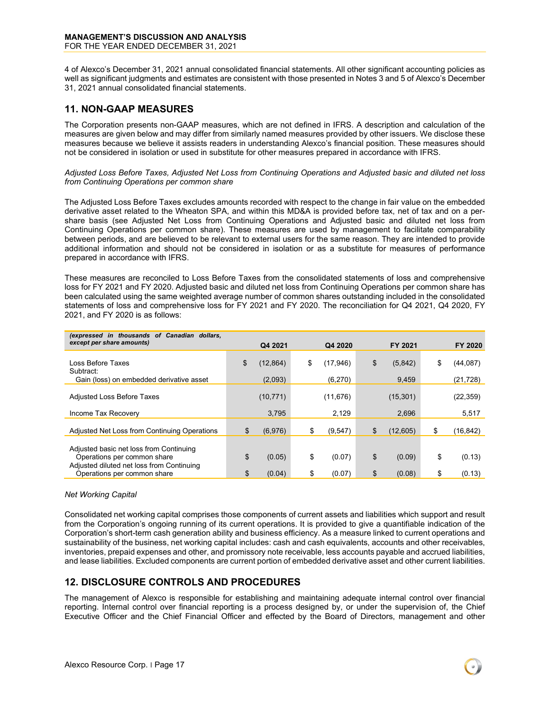4 of Alexco's December 31, 2021 annual consolidated financial statements. All other significant accounting policies as well as significant judgments and estimates are consistent with those presented in Notes 3 and 5 of Alexco's December 31, 2021 annual consolidated financial statements.

## <span id="page-16-0"></span>**11. NON-GAAP MEASURES**

The Corporation presents non-GAAP measures, which are not defined in IFRS. A description and calculation of the measures are given below and may differ from similarly named measures provided by other issuers. We disclose these measures because we believe it assists readers in understanding Alexco's financial position. These measures should not be considered in isolation or used in substitute for other measures prepared in accordance with IFRS.

#### *Adjusted Loss Before Taxes, Adjusted Net Loss from Continuing Operations and Adjusted basic and diluted net loss from Continuing Operations per common share*

The Adjusted Loss Before Taxes excludes amounts recorded with respect to the change in fair value on the embedded derivative asset related to the Wheaton SPA, and within this MD&A is provided before tax, net of tax and on a pershare basis (see Adjusted Net Loss from Continuing Operations and Adjusted basic and diluted net loss from Continuing Operations per common share). These measures are used by management to facilitate comparability between periods, and are believed to be relevant to external users for the same reason. They are intended to provide additional information and should not be considered in isolation or as a substitute for measures of performance prepared in accordance with IFRS.

These measures are reconciled to Loss Before Taxes from the consolidated statements of loss and comprehensive loss for FY 2021 and FY 2020. Adjusted basic and diluted net loss from Continuing Operations per common share has been calculated using the same weighted average number of common shares outstanding included in the consolidated statements of loss and comprehensive loss for FY 2021 and FY 2020. The reconciliation for Q4 2021, Q4 2020, FY 2021, and FY 2020 is as follows:

| (expressed in thousands of Canadian dollars,<br>except per share amounts) |                 |                |                |                 |
|---------------------------------------------------------------------------|-----------------|----------------|----------------|-----------------|
|                                                                           | Q4 2021         | Q4 2020        | FY 2021        | FY 2020         |
| Loss Before Taxes<br>Subtract:                                            | \$<br>(12, 864) | \$<br>(17,946) | \$<br>(5,842)  | \$<br>(44, 087) |
| Gain (loss) on embedded derivative asset                                  | (2,093)         | (6,270)        | 9,459          | (21, 728)       |
| <b>Adjusted Loss Before Taxes</b>                                         | (10, 771)       | (11, 676)      | (15, 301)      | (22, 359)       |
| Income Tax Recovery                                                       | 3,795           | 2,129          | 2,696          | 5,517           |
| Adjusted Net Loss from Continuing Operations                              | \$<br>(6,976)   | \$<br>(9, 547) | \$<br>(12.605) | \$<br>(16,842)  |
| Adjusted basic net loss from Continuing<br>Operations per common share    | \$<br>(0.05)    | \$<br>(0.07)   | \$<br>(0.09)   | \$<br>(0.13)    |
| Adjusted diluted net loss from Continuing<br>Operations per common share  | \$<br>(0.04)    | \$<br>(0.07)   | \$<br>(0.08)   | \$<br>(0.13)    |

#### *Net Working Capital*

Consolidated net working capital comprises those components of current assets and liabilities which support and result from the Corporation's ongoing running of its current operations. It is provided to give a quantifiable indication of the Corporation's short-term cash generation ability and business efficiency. As a measure linked to current operations and sustainability of the business, net working capital includes: cash and cash equivalents, accounts and other receivables, inventories, prepaid expenses and other, and promissory note receivable, less accounts payable and accrued liabilities, and lease liabilities. Excluded components are current portion of embedded derivative asset and other current liabilities.

### <span id="page-16-1"></span>**12. DISCLOSURE CONTROLS AND PROCEDURES**

The management of Alexco is responsible for establishing and maintaining adequate internal control over financial reporting. Internal control over financial reporting is a process designed by, or under the supervision of, the Chief Executive Officer and the Chief Financial Officer and effected by the Board of Directors, management and other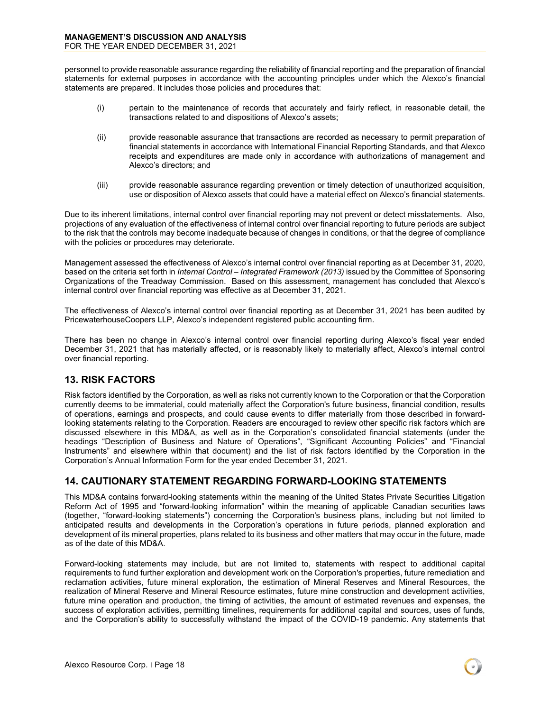personnel to provide reasonable assurance regarding the reliability of financial reporting and the preparation of financial statements for external purposes in accordance with the accounting principles under which the Alexco's financial statements are prepared. It includes those policies and procedures that:

- (i) pertain to the maintenance of records that accurately and fairly reflect, in reasonable detail, the transactions related to and dispositions of Alexco's assets;
- (ii) provide reasonable assurance that transactions are recorded as necessary to permit preparation of financial statements in accordance with International Financial Reporting Standards, and that Alexco receipts and expenditures are made only in accordance with authorizations of management and Alexco's directors; and
- (iii) provide reasonable assurance regarding prevention or timely detection of unauthorized acquisition, use or disposition of Alexco assets that could have a material effect on Alexco's financial statements.

Due to its inherent limitations, internal control over financial reporting may not prevent or detect misstatements. Also, projections of any evaluation of the effectiveness of internal control over financial reporting to future periods are subject to the risk that the controls may become inadequate because of changes in conditions, or that the degree of compliance with the policies or procedures may deteriorate.

Management assessed the effectiveness of Alexco's internal control over financial reporting as at December 31, 2020, based on the criteria set forth in *Internal Control – Integrated Framework (2013)* issued by the Committee of Sponsoring Organizations of the Treadway Commission. Based on this assessment, management has concluded that Alexco's internal control over financial reporting was effective as at December 31, 2021.

The effectiveness of Alexco's internal control over financial reporting as at December 31, 2021 has been audited by PricewaterhouseCoopers LLP, Alexco's independent registered public accounting firm.

There has been no change in Alexco's internal control over financial reporting during Alexco's fiscal year ended December 31, 2021 that has materially affected, or is reasonably likely to materially affect, Alexco's internal control over financial reporting.

## <span id="page-17-0"></span>**13. RISK FACTORS**

Risk factors identified by the Corporation, as well as risks not currently known to the Corporation or that the Corporation currently deems to be immaterial, could materially affect the Corporation's future business, financial condition, results of operations, earnings and prospects, and could cause events to differ materially from those described in forwardlooking statements relating to the Corporation. Readers are encouraged to review other specific risk factors which are discussed elsewhere in this MD&A, as well as in the Corporation's consolidated financial statements (under the headings "Description of Business and Nature of Operations", "Significant Accounting Policies" and "Financial Instruments" and elsewhere within that document) and the list of risk factors identified by the Corporation in the Corporation's Annual Information Form for the year ended December 31, 2021.

## <span id="page-17-1"></span>**14. CAUTIONARY STATEMENT REGARDING FORWARD-LOOKING STATEMENTS**

This MD&A contains forward-looking statements within the meaning of the United States Private Securities Litigation Reform Act of 1995 and "forward-looking information" within the meaning of applicable Canadian securities laws (together, "forward-looking statements") concerning the Corporation's business plans, including but not limited to anticipated results and developments in the Corporation's operations in future periods, planned exploration and development of its mineral properties, plans related to its business and other matters that may occur in the future, made as of the date of this MD&A.

Forward-looking statements may include, but are not limited to, statements with respect to additional capital requirements to fund further exploration and development work on the Corporation's properties, future remediation and reclamation activities, future mineral exploration, the estimation of Mineral Reserves and Mineral Resources, the realization of Mineral Reserve and Mineral Resource estimates, future mine construction and development activities, future mine operation and production, the timing of activities, the amount of estimated revenues and expenses, the success of exploration activities, permitting timelines, requirements for additional capital and sources, uses of funds, and the Corporation's ability to successfully withstand the impact of the COVID-19 pandemic. Any statements that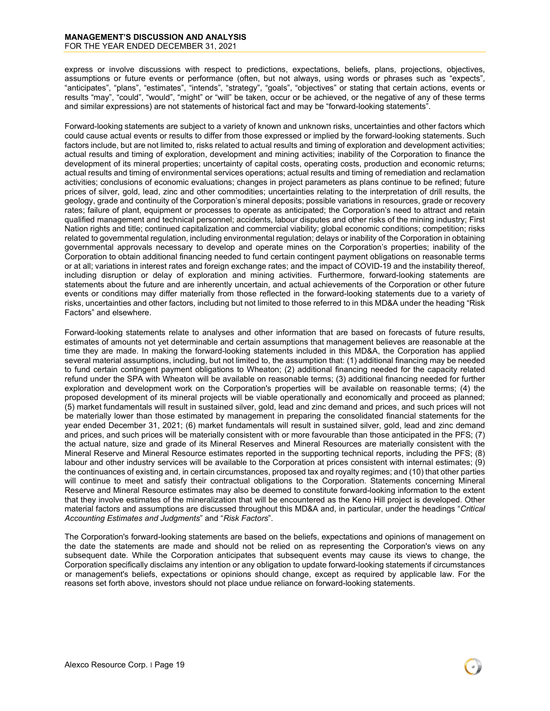#### **MANAGEMENT'S DISCUSSION AND ANALYSIS** FOR THE YEAR ENDED DECEMBER 31, 2021

express or involve discussions with respect to predictions, expectations, beliefs, plans, projections, objectives, assumptions or future events or performance (often, but not always, using words or phrases such as "expects", "anticipates", "plans", "estimates", "intends", "strategy", "goals", "objectives" or stating that certain actions, events or results "may", "could", "would", "might" or "will" be taken, occur or be achieved, or the negative of any of these terms and similar expressions) are not statements of historical fact and may be "forward-looking statements".

Forward-looking statements are subject to a variety of known and unknown risks, uncertainties and other factors which could cause actual events or results to differ from those expressed or implied by the forward-looking statements. Such factors include, but are not limited to, risks related to actual results and timing of exploration and development activities; actual results and timing of exploration, development and mining activities; inability of the Corporation to finance the development of its mineral properties; uncertainty of capital costs, operating costs, production and economic returns; actual results and timing of environmental services operations; actual results and timing of remediation and reclamation activities; conclusions of economic evaluations; changes in project parameters as plans continue to be refined; future prices of silver, gold, lead, zinc and other commodities; uncertainties relating to the interpretation of drill results, the geology, grade and continuity of the Corporation's mineral deposits; possible variations in resources, grade or recovery rates; failure of plant, equipment or processes to operate as anticipated; the Corporation's need to attract and retain qualified management and technical personnel; accidents, labour disputes and other risks of the mining industry; First Nation rights and title; continued capitalization and commercial viability; global economic conditions; competition; risks related to governmental regulation, including environmental regulation; delays or inability of the Corporation in obtaining governmental approvals necessary to develop and operate mines on the Corporation's properties; inability of the Corporation to obtain additional financing needed to fund certain contingent payment obligations on reasonable terms or at all; variations in interest rates and foreign exchange rates; and the impact of COVID-19 and the instability thereof, including disruption or delay of exploration and mining activities. Furthermore, forward-looking statements are statements about the future and are inherently uncertain, and actual achievements of the Corporation or other future events or conditions may differ materially from those reflected in the forward-looking statements due to a variety of risks, uncertainties and other factors, including but not limited to those referred to in this MD&A under the heading "Risk Factors" and elsewhere.

Forward-looking statements relate to analyses and other information that are based on forecasts of future results, estimates of amounts not yet determinable and certain assumptions that management believes are reasonable at the time they are made. In making the forward-looking statements included in this MD&A, the Corporation has applied several material assumptions, including, but not limited to, the assumption that: (1) additional financing may be needed to fund certain contingent payment obligations to Wheaton; (2) additional financing needed for the capacity related refund under the SPA with Wheaton will be available on reasonable terms; (3) additional financing needed for further exploration and development work on the Corporation's properties will be available on reasonable terms; (4) the proposed development of its mineral projects will be viable operationally and economically and proceed as planned; (5) market fundamentals will result in sustained silver, gold, lead and zinc demand and prices, and such prices will not be materially lower than those estimated by management in preparing the consolidated financial statements for the year ended December 31, 2021; (6) market fundamentals will result in sustained silver, gold, lead and zinc demand and prices, and such prices will be materially consistent with or more favourable than those anticipated in the PFS; (7) the actual nature, size and grade of its Mineral Reserves and Mineral Resources are materially consistent with the Mineral Reserve and Mineral Resource estimates reported in the supporting technical reports, including the PFS; (8) labour and other industry services will be available to the Corporation at prices consistent with internal estimates; (9) the continuances of existing and, in certain circumstances, proposed tax and royalty regimes; and (10) that other parties will continue to meet and satisfy their contractual obligations to the Corporation. Statements concerning Mineral Reserve and Mineral Resource estimates may also be deemed to constitute forward-looking information to the extent that they involve estimates of the mineralization that will be encountered as the Keno Hill project is developed. Other material factors and assumptions are discussed throughout this MD&A and, in particular, under the headings "*Critical Accounting Estimates and Judgments*" and "*Risk Factors*".

The Corporation's forward-looking statements are based on the beliefs, expectations and opinions of management on the date the statements are made and should not be relied on as representing the Corporation's views on any subsequent date. While the Corporation anticipates that subsequent events may cause its views to change, the Corporation specifically disclaims any intention or any obligation to update forward-looking statements if circumstances or management's beliefs, expectations or opinions should change, except as required by applicable law. For the reasons set forth above, investors should not place undue reliance on forward-looking statements.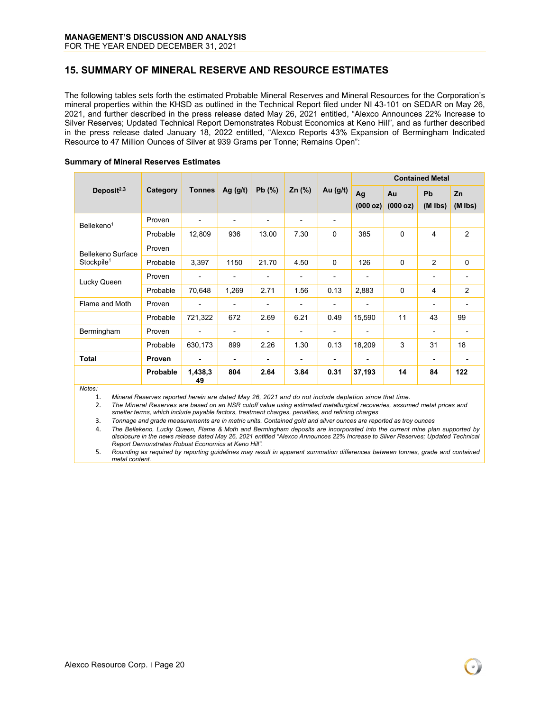## <span id="page-19-0"></span>**15. SUMMARY OF MINERAL RESERVE AND RESOURCE ESTIMATES**

The following tables sets forth the estimated Probable Mineral Reserves and Mineral Resources for the Corporation's mineral properties within the KHSD as outlined in the Technical Report filed under NI 43-101 on SEDAR on May 26, 2021, and further described in the press release dated May 26, 2021 entitled, "Alexco Announces 22% Increase to Silver Reserves; Updated Technical Report Demonstrates Robust Economics at Keno Hill", and as further described in the press release dated January 18, 2022 entitled, "Alexco Reports 43% Expansion of Bermingham Indicated Resource to 47 Million Ounces of Silver at 939 Grams per Tonne; Remains Open":

#### **Summary of Mineral Reserves Estimates**

|                                             | Category      | <b>Tonnes</b>            | Ag $(g/t)$     | Pb(%)                    | $Zn$ (%)                     | Au $(g/t)$     | <b>Contained Metal</b>   |                |                          |                 |
|---------------------------------------------|---------------|--------------------------|----------------|--------------------------|------------------------------|----------------|--------------------------|----------------|--------------------------|-----------------|
| Deposit $2,3$                               |               |                          |                |                          |                              |                | Ag<br>(000 oz)           | Au<br>(000 oz) | Pb<br>$(M$ lbs)          | Zn<br>$(M$ lbs) |
| Bellekeno <sup>1</sup>                      | Proven        | -                        | -              | $\overline{\phantom{a}}$ | $\blacksquare$               | -              |                          |                |                          |                 |
|                                             | Probable      | 12,809                   | 936            | 13.00                    | 7.30                         | $\mathbf 0$    | 385                      | $\Omega$       | 4                        | 2               |
| Bellekeno Surface<br>Stockpile <sup>1</sup> | Proven        |                          |                |                          |                              |                |                          |                |                          |                 |
|                                             | Probable      | 3,397                    | 1150           | 21.70                    | 4.50                         | $\Omega$       | 126                      | $\Omega$       | $\overline{2}$           | $\mathbf 0$     |
| Lucky Queen                                 | Proven        | $\overline{a}$           | -              | $\blacksquare$           | $\blacksquare$               | -              | $\blacksquare$           |                |                          |                 |
|                                             | Probable      | 70,648                   | 1,269          | 2.71                     | 1.56                         | 0.13           | 2,883                    | $\Omega$       | 4                        | 2               |
| Flame and Moth                              | Proven        | $\overline{\phantom{0}}$ | ٠              | $\overline{\phantom{a}}$ | $\qquad \qquad \blacksquare$ | -              | $\overline{\phantom{a}}$ |                | $\overline{\phantom{a}}$ |                 |
|                                             | Probable      | 721,322                  | 672            | 2.69                     | 6.21                         | 0.49           | 15,590                   | 11             | 43                       | 99              |
| Bermingham                                  | Proven        | -                        | $\overline{a}$ | $\blacksquare$           | $\blacksquare$               | $\blacksquare$ | $\overline{\phantom{0}}$ |                |                          |                 |
|                                             | Probable      | 630,173                  | 899            | 2.26                     | 1.30                         | 0.13           | 18,209                   | 3              | 31                       | 18              |
| <b>Total</b>                                | <b>Proven</b> | ۰                        | ۰              | $\blacksquare$           | ۰                            | ۰              | ٠                        |                | ۰                        |                 |
|                                             | Probable      | 1,438,3<br>49            | 804            | 2.64                     | 3.84                         | 0.31           | 37,193                   | 14             | 84                       | 122             |

*Notes:*

1. *Mineral Reserves reported herein are dated May 26, 2021 and do not include depletion since that time.* 

2. *The Mineral Reserves are based on an NSR cutoff value using estimated metallurgical recoveries, assumed metal prices and smelter terms, which include payable factors, treatment charges, penalties, and refining charges*

3. *Tonnage and grade measurements are in metric units. Contained gold and silver ounces are reported as troy ounces*

4. The Bellekeno, Lucky Queen, Flame & Moth and Bermingham deposits are incorporated into the current mine plan supported by disclosure in the news release dated May 26, 2021 entitled "Alexco Announces 22% Increase to Silver Reserves, Updated Technical *Report Demonstrates Robust Economics at Keno Hill".*

5. *Rounding as required by reporting guidelines may result in apparent summation differences between tonnes, grade and contained metal content.*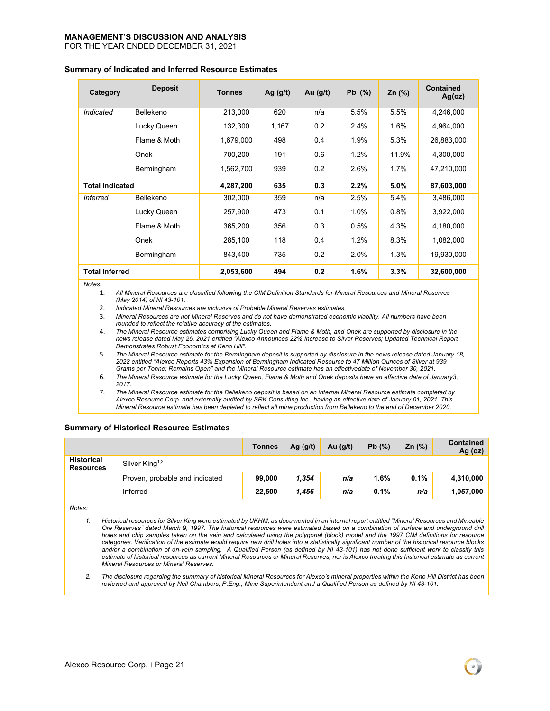## **MANAGEMENT'S DISCUSSION AND ANALYSIS**

FOR THE YEAR ENDED DECEMBER 31, 2021

| Category               | <b>Deposit</b> | <b>Tonnes</b> | Ag $(g/t)$ | Au $(g/t)$ | Pb $(%)$ | Zn $(%)$ | <b>Contained</b><br>Ag(oz) |
|------------------------|----------------|---------------|------------|------------|----------|----------|----------------------------|
| Indicated              | Bellekeno      | 213,000       | 620        | n/a        | 5.5%     | 5.5%     | 4,246,000                  |
|                        | Lucky Queen    | 132,300       | 1,167      | 0.2        | 2.4%     | 1.6%     | 4,964,000                  |
|                        | Flame & Moth   | 1,679,000     | 498        | 0.4        | 1.9%     | 5.3%     | 26,883,000                 |
|                        | Onek           | 700,200       | 191        | 0.6        | 1.2%     | 11.9%    | 4,300,000                  |
|                        | Bermingham     | 1,562,700     | 939        | 0.2        | 2.6%     | $1.7\%$  | 47,210,000                 |
| <b>Total Indicated</b> |                | 4,287,200     | 635        | 0.3        | 2.2%     | 5.0%     | 87,603,000                 |
| <b>Inferred</b>        | Bellekeno      | 302,000       | 359        | n/a        | 2.5%     | 5.4%     | 3,486,000                  |
|                        | Lucky Queen    | 257,900       | 473        | 0.1        | 1.0%     | 0.8%     | 3,922,000                  |
|                        | Flame & Moth   | 365,200       | 356        | 0.3        | 0.5%     | 4.3%     | 4,180,000                  |
|                        | Onek           | 285,100       | 118        | 0.4        | 1.2%     | 8.3%     | 1,082,000                  |
|                        | Bermingham     | 843,400       | 735        | 0.2        | 2.0%     | 1.3%     | 19,930,000                 |
| <b>Total Inferred</b>  |                | 2,053,600     | 494        | 0.2        | 1.6%     | 3.3%     | 32,600,000                 |

#### **Summary of Indicated and Inferred Resource Estimates**

*Notes:*

1. *All Mineral Resources are classified following the CIM Definition Standards for Mineral Resources and Mineral Reserves (May 2014) of NI 43-101.*

- 2. *Indicated Mineral Resources are inclusive of Probable Mineral Reserves estimates.*
- 3. *Mineral Resources are not Mineral Reserves and do not have demonstrated economic viability. All numbers have been rounded to reflect the relative accuracy of the estimates.*

4. *The Mineral Resource estimates comprising Lucky Queen and Flame & Moth, and Onek are supported by disclosure in the news release dated May 26, 2021 entitled "Alexco Announces 22% Increase to Silver Reserves; Updated Technical Report Demonstrates Robust Economics at Keno Hill".*

5. *The Mineral Resource estimate for the Bermingham deposit is supported by disclosure in the news release dated January 18, 2022 entitled "Alexco Reports 43% Expansion of Bermingham Indicated Resource to 47 Million Ounces of Silver at 939 Grams per Tonne; Remains Open" and the Mineral Resource estimate has an effectivedate of November 30, 2021.*

- 6. *The Mineral Resource estimate for the Lucky Queen, Flame & Moth and Onek deposits have an effective date of January3, 2017.*
- 7. *The Mineral Resource estimate for the Bellekeno deposit is based on an internal Mineral Resource estimate completed by Alexco Resource Corp. and externally audited by SRK Consulting Inc., having an effective date of January 01, 2021. This* Mineral Resource estimate has been depleted to reflect all mine production from Bellekeno to the end of December 2020.

#### **Summary of Historical Resource Estimates**

|                                |                                | Tonnes | Ag $(g/t)$ | Au $(q/t)$ | Pb(%) | Zn $(%)$ | <b>Contained</b><br>Ag (oz) |
|--------------------------------|--------------------------------|--------|------------|------------|-------|----------|-----------------------------|
| <b>Historical</b><br>Resources | Silver King <sup>1,2</sup>     |        |            |            |       |          |                             |
|                                | Proven, probable and indicated | 99.000 | 1,354      | n/a        | 1.6%  | 0.1%     | 4,310,000                   |
|                                | Inferred                       | 22,500 | 1.456      | n/a        | 0.1%  | n/a      | 1,057,000                   |

*Notes:*

*1. Historical resources for Silver King were estimated by UKHM, as documented in an internal report entitled "Mineral Resources and Mineable Ore Reserves" dated March 9, 1997. The historical resources were estimated based on a combination of surface and underground drill holes and chip samples taken on the vein and calculated using the polygonal (block) model and the 1997 CIM definitions for resource categories. Verification of the estimate would require new drill holes into a statistically significant number of the historical resource blocks and/or a combination of on-vein sampling. A Qualified Person (as defined by NI 43-101) has not done sufficient work to classify this estimate of historical resources as current Mineral Resources or Mineral Reserves, nor is Alexco treating this historical estimate as current Mineral Resources or Mineral Reserves.*

*2. The disclosure regarding the summary of historical Mineral Resources for Alexco's mineral properties within the Keno Hill District has been reviewed and approved by Neil Chambers, P.Eng., Mine Superintendent and a Qualified Person as defined by NI 43-101.*